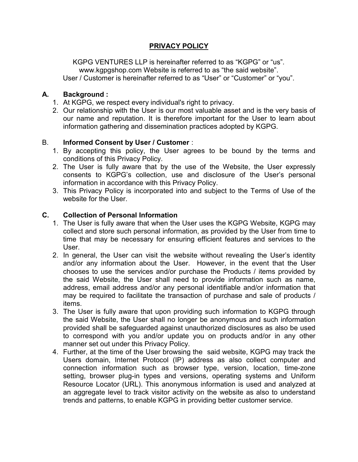# PRIVACY POLICY

KGPG VENTURES LLP is hereinafter referred to as "KGPG" or "us". www.kgpgshop.com Website is referred to as "the said website". User / Customer is hereinafter referred to as "User" or "Customer" or "you".

## A. Background :

- 1. At KGPG, we respect every individual's right to privacy.
- 2. Our relationship with the User is our most valuable asset and is the very basis of our name and reputation. It is therefore important for the User to learn about information gathering and dissemination practices adopted by KGPG.

## B. Informed Consent by User / Customer :

- 1. By accepting this policy, the User agrees to be bound by the terms and conditions of this Privacy Policy.
- 2. The User is fully aware that by the use of the Website, the User expressly consents to KGPG's collection, use and disclosure of the User's personal information in accordance with this Privacy Policy.
- 3. This Privacy Policy is incorporated into and subject to the Terms of Use of the website for the User.

## C. Collection of Personal Information

- 1. The User is fully aware that when the User uses the KGPG Website, KGPG may collect and store such personal information, as provided by the User from time to time that may be necessary for ensuring efficient features and services to the User.
- 2. In general, the User can visit the website without revealing the User's identity and/or any information about the User. However, in the event that the User chooses to use the services and/or purchase the Products / items provided by the said Website, the User shall need to provide information such as name, address, email address and/or any personal identifiable and/or information that may be required to facilitate the transaction of purchase and sale of products / items.
- 3. The User is fully aware that upon providing such information to KGPG through the said Website, the User shall no longer be anonymous and such information provided shall be safeguarded against unauthorized disclosures as also be used to correspond with you and/or update you on products and/or in any other manner set out under this Privacy Policy.
- 4. Further, at the time of the User browsing the said website, KGPG may track the Users domain, Internet Protocol (IP) address as also collect computer and connection information such as browser type, version, location, time-zone setting, browser plug-in types and versions, operating systems and Uniform Resource Locator (URL). This anonymous information is used and analyzed at an aggregate level to track visitor activity on the website as also to understand trends and patterns, to enable KGPG in providing better customer service.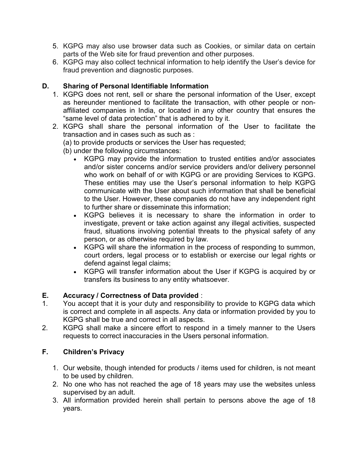- 5. KGPG may also use browser data such as Cookies, or similar data on certain parts of the Web site for fraud prevention and other purposes.
- 6. KGPG may also collect technical information to help identify the User's device for fraud prevention and diagnostic purposes.

## D. Sharing of Personal Identifiable Information

- 1. KGPG does not rent, sell or share the personal information of the User, except as hereunder mentioned to facilitate the transaction, with other people or nonaffiliated companies in India, or located in any other country that ensures the "same level of data protection" that is adhered to by it.
- 2. KGPG shall share the personal information of the User to facilitate the transaction and in cases such as such as :
	- (a) to provide products or services the User has requested;
	- (b) under the following circumstances:
		- KGPG may provide the information to trusted entities and/or associates and/or sister concerns and/or service providers and/or delivery personnel who work on behalf of or with KGPG or are providing Services to KGPG. These entities may use the User's personal information to help KGPG communicate with the User about such information that shall be beneficial to the User. However, these companies do not have any independent right to further share or disseminate this information;
		- KGPG believes it is necessary to share the information in order to investigate, prevent or take action against any illegal activities, suspected fraud, situations involving potential threats to the physical safety of any person, or as otherwise required by law.
		- KGPG will share the information in the process of responding to summon, court orders, legal process or to establish or exercise our legal rights or defend against legal claims;
		- KGPG will transfer information about the User if KGPG is acquired by or transfers its business to any entity whatsoever.

### E. Accuracy / Correctness of Data provided :

- 1. You accept that it is your duty and responsibility to provide to KGPG data which is correct and complete in all aspects. Any data or information provided by you to KGPG shall be true and correct in all aspects.
- 2. KGPG shall make a sincere effort to respond in a timely manner to the Users requests to correct inaccuracies in the Users personal information.

### F. Children's Privacy

- 1. Our website, though intended for products / items used for children, is not meant to be used by children.
- 2. No one who has not reached the age of 18 years may use the websites unless supervised by an adult.
- 3. All information provided herein shall pertain to persons above the age of 18 years.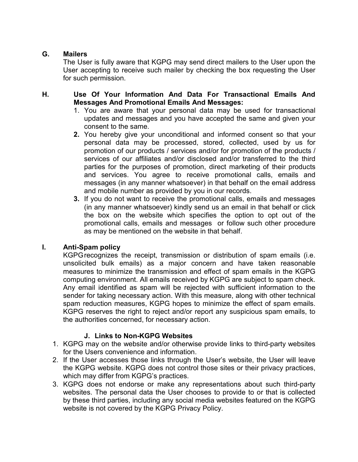## G. Mailers

The User is fully aware that KGPG may send direct mailers to the User upon the User accepting to receive such mailer by checking the box requesting the User for such permission.

## H. Use Of Your Information And Data For Transactional Emails And Messages And Promotional Emails And Messages:

- 1. You are aware that your personal data may be used for transactional updates and messages and you have accepted the same and given your consent to the same.
- 2. You hereby give your unconditional and informed consent so that your personal data may be processed, stored, collected, used by us for promotion of our products / services and/or for promotion of the products / services of our affiliates and/or disclosed and/or transferred to the third parties for the purposes of promotion, direct marketing of their products and services. You agree to receive promotional calls, emails and messages (in any manner whatsoever) in that behalf on the email address and mobile number as provided by you in our records.
- 3. If you do not want to receive the promotional calls, emails and messages (in any manner whatsoever) kindly send us an email in that behalf or click the box on the website which specifies the option to opt out of the promotional calls, emails and messages or follow such other procedure as may be mentioned on the website in that behalf.

### I. Anti-Spam policy

KGPG recognizes the receipt, transmission or distribution of spam emails (i.e. unsolicited bulk emails) as a major concern and have taken reasonable measures to minimize the transmission and effect of spam emails in the KGPG computing environment. All emails received by KGPG are subject to spam check. Any email identified as spam will be rejected with sufficient information to the sender for taking necessary action. With this measure, along with other technical spam reduction measures, KGPG hopes to minimize the effect of spam emails. KGPG reserves the right to reject and/or report any suspicious spam emails, to the authorities concerned, for necessary action.

### J. Links to Non-KGPG Websites

- 1. KGPG may on the website and/or otherwise provide links to third-party websites for the Users convenience and information.
- 2. If the User accesses those links through the User's website, the User will leave the KGPG website. KGPG does not control those sites or their privacy practices, which may differ from KGPG's practices.
- 3. KGPG does not endorse or make any representations about such third-party websites. The personal data the User chooses to provide to or that is collected by these third parties, including any social media websites featured on the KGPG website is not covered by the KGPG Privacy Policy.